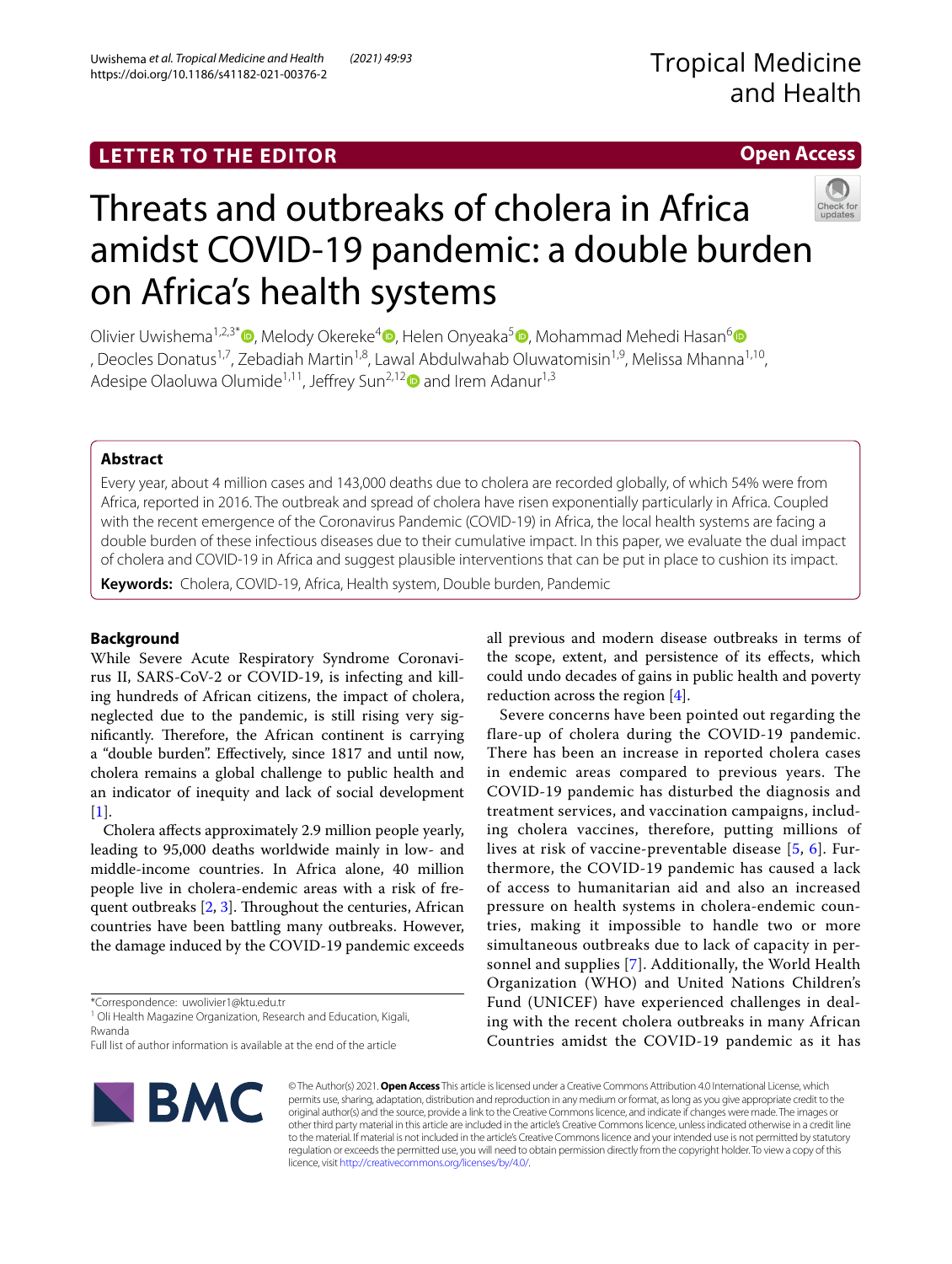**LETTER TO THE EDITOR**

## Tropical Medicine and Health

## **Open Access**



# Threats and outbreaks of cholera in Africa amidst COVID-19 pandemic: a double burden on Africa's health systems

Olivier Uwishema<sup>1[,](http://orcid.org/0000-0002-0692-9027)2,3\*</sup>  $\bullet$ , Melody Okereke<sup>[4](http://orcid.org/0000-0003-2533-6785)</sup>  $\bullet$ , Helen Onyeaka<sup>[5](http://orcid.org/0000-0003-3846-847X)</sup>  $\bullet$ , Mohammad Mehedi Hasan<sup>[6](http://orcid.org/0000-0002-3871-889X)</sup>  $\bullet$ , Deocles Donatus<sup>1,7</sup>, Zebadiah Martin<sup>1,8</sup>, Lawal Abdulwahab Oluwatomisin<sup>1,9</sup>, Melissa Mhanna<sup>1,10</sup>, Adesipe Olaoluwa Olumide<sup>1,11</sup>, Jeffrey Sun<sup>[2](http://orcid.org/0000-0003-4253-9613),12</sup> and Irem Adanur<sup>1,3</sup>

## **Abstract**

Every year, about 4 million cases and 143,000 deaths due to cholera are recorded globally, of which 54% were from Africa, reported in 2016. The outbreak and spread of cholera have risen exponentially particularly in Africa. Coupled with the recent emergence of the Coronavirus Pandemic (COVID-19) in Africa, the local health systems are facing a double burden of these infectious diseases due to their cumulative impact. In this paper, we evaluate the dual impact of cholera and COVID-19 in Africa and suggest plausible interventions that can be put in place to cushion its impact.

**Keywords:** Cholera, COVID-19, Africa, Health system, Double burden, Pandemic

## **Background**

While Severe Acute Respiratory Syndrome Coronavirus II, SARS-CoV-2 or COVID-19, is infecting and killing hundreds of African citizens, the impact of cholera, neglected due to the pandemic, is still rising very significantly. Therefore, the African continent is carrying a "double burden". Efectively, since 1817 and until now, cholera remains a global challenge to public health and an indicator of inequity and lack of social development  $|1|$ .

Cholera afects approximately 2.9 million people yearly, leading to 95,000 deaths worldwide mainly in low- and middle-income countries. In Africa alone, 40 million people live in cholera-endemic areas with a risk of frequent outbreaks  $[2, 3]$  $[2, 3]$  $[2, 3]$ . Throughout the centuries, African countries have been battling many outbreaks. However, the damage induced by the COVID-19 pandemic exceeds

\*Correspondence: uwolivier1@ktu.edu.tr

<sup>1</sup> Oli Health Magazine Organization, Research and Education, Kigali, Rwanda

Full list of author information is available at the end of the article



all previous and modern disease outbreaks in terms of the scope, extent, and persistence of its efects, which could undo decades of gains in public health and poverty reduction across the region [[4\]](#page-3-3).

Severe concerns have been pointed out regarding the flare-up of cholera during the COVID-19 pandemic. There has been an increase in reported cholera cases in endemic areas compared to previous years. The COVID-19 pandemic has disturbed the diagnosis and treatment services, and vaccination campaigns, including cholera vaccines, therefore, putting millions of lives at risk of vaccine-preventable disease [[5,](#page-3-4) [6\]](#page-3-5). Furthermore, the COVID-19 pandemic has caused a lack of access to humanitarian aid and also an increased pressure on health systems in cholera-endemic countries, making it impossible to handle two or more simultaneous outbreaks due to lack of capacity in personnel and supplies [[7](#page-3-6)]. Additionally, the World Health Organization (WHO) and United Nations Children's Fund (UNICEF) have experienced challenges in dealing with the recent cholera outbreaks in many African Countries amidst the COVID-19 pandemic as it has

© The Author(s) 2021. **Open Access** This article is licensed under a Creative Commons Attribution 4.0 International License, which permits use, sharing, adaptation, distribution and reproduction in any medium or format, as long as you give appropriate credit to the original author(s) and the source, provide a link to the Creative Commons licence, and indicate if changes were made. The images or other third party material in this article are included in the article's Creative Commons licence, unless indicated otherwise in a credit line to the material. If material is not included in the article's Creative Commons licence and your intended use is not permitted by statutory regulation or exceeds the permitted use, you will need to obtain permission directly from the copyright holder. To view a copy of this licence, visit [http://creativecommons.org/licenses/by/4.0/.](http://creativecommons.org/licenses/by/4.0/)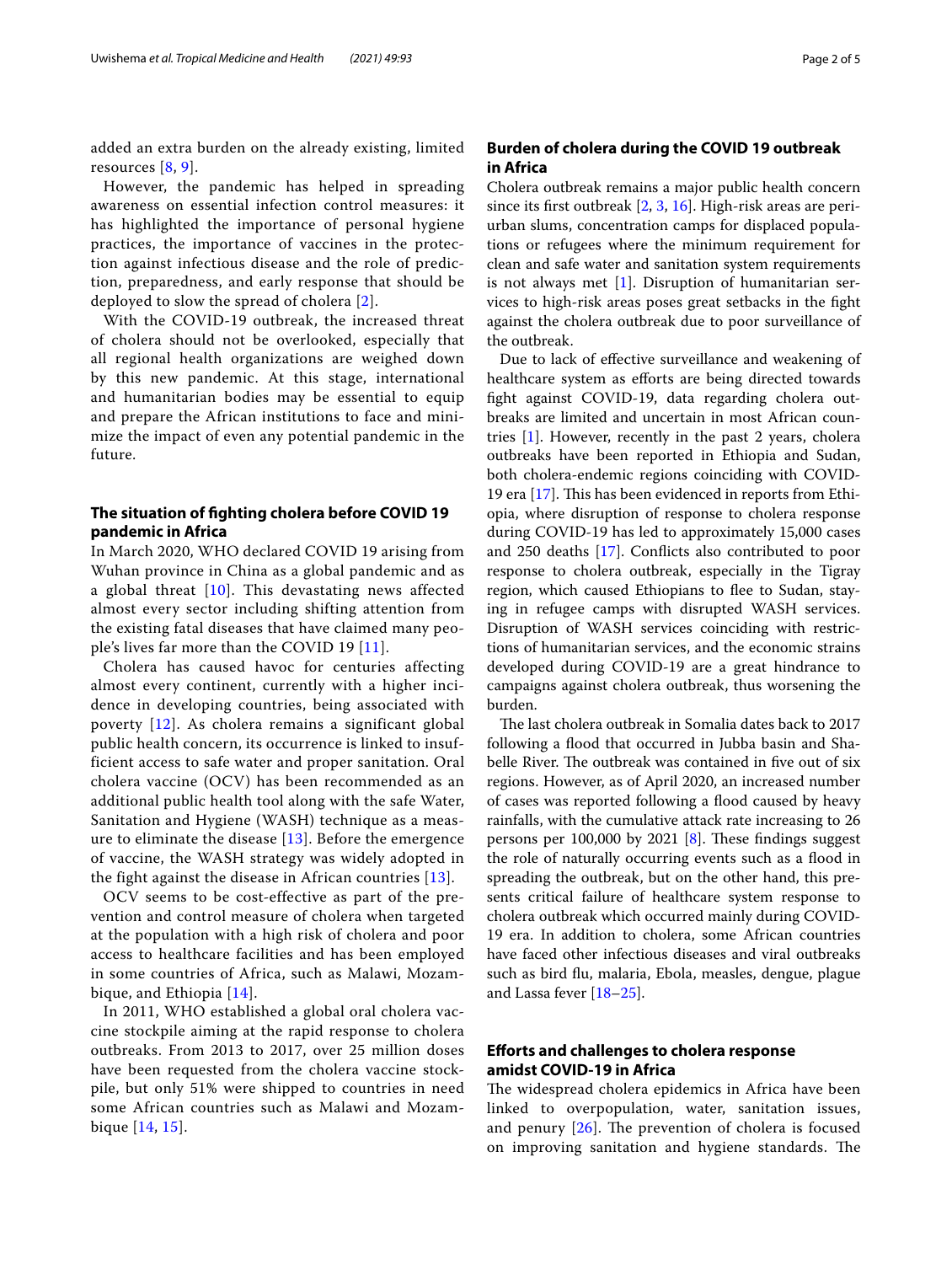added an extra burden on the already existing, limited resources [\[8](#page-3-7), [9](#page-3-8)].

However, the pandemic has helped in spreading awareness on essential infection control measures: it has highlighted the importance of personal hygiene practices, the importance of vaccines in the protection against infectious disease and the role of prediction, preparedness, and early response that should be deployed to slow the spread of cholera [[2](#page-3-1)].

With the COVID-19 outbreak, the increased threat of cholera should not be overlooked, especially that all regional health organizations are weighed down by this new pandemic. At this stage, international and humanitarian bodies may be essential to equip and prepare the African institutions to face and minimize the impact of even any potential pandemic in the future.

## **The situation of fghting cholera before COVID 19 pandemic in Africa**

In March 2020, WHO declared COVID 19 arising from Wuhan province in China as a global pandemic and as a global threat [[10](#page-3-9)]. This devastating news affected almost every sector including shifting attention from the existing fatal diseases that have claimed many people's lives far more than the COVID 19 [[11\]](#page-3-10).

Cholera has caused havoc for centuries affecting almost every continent, currently with a higher incidence in developing countries, being associated with poverty [[12](#page-3-11)]. As cholera remains a significant global public health concern, its occurrence is linked to insufficient access to safe water and proper sanitation. Oral cholera vaccine (OCV) has been recommended as an additional public health tool along with the safe Water, Sanitation and Hygiene (WASH) technique as a measure to eliminate the disease [[13\]](#page-3-12). Before the emergence of vaccine, the WASH strategy was widely adopted in the fight against the disease in African countries [[13](#page-3-12)].

OCV seems to be cost-effective as part of the prevention and control measure of cholera when targeted at the population with a high risk of cholera and poor access to healthcare facilities and has been employed in some countries of Africa, such as Malawi, Mozambique, and Ethiopia [\[14](#page-3-13)].

In 2011, WHO established a global oral cholera vaccine stockpile aiming at the rapid response to cholera outbreaks. From 2013 to 2017, over 25 million doses have been requested from the cholera vaccine stockpile, but only 51% were shipped to countries in need some African countries such as Malawi and Mozambique [\[14,](#page-3-13) [15\]](#page-3-14).

## **Burden of cholera during the COVID 19 outbreak in Africa**

Cholera outbreak remains a major public health concern since its frst outbreak [\[2](#page-3-1), [3,](#page-3-2) [16](#page-3-15)]. High-risk areas are periurban slums, concentration camps for displaced populations or refugees where the minimum requirement for clean and safe water and sanitation system requirements is not always met [[1\]](#page-3-0). Disruption of humanitarian services to high-risk areas poses great setbacks in the fght against the cholera outbreak due to poor surveillance of the outbreak.

Due to lack of efective surveillance and weakening of healthcare system as efforts are being directed towards fght against COVID-19, data regarding cholera outbreaks are limited and uncertain in most African countries [[1\]](#page-3-0). However, recently in the past 2 years, cholera outbreaks have been reported in Ethiopia and Sudan, both cholera-endemic regions coinciding with COVID-19 era  $[17]$  $[17]$ . This has been evidenced in reports from Ethiopia, where disruption of response to cholera response during COVID-19 has led to approximately 15,000 cases and 250 deaths [[17](#page-3-16)]. Conficts also contributed to poor response to cholera outbreak, especially in the Tigray region, which caused Ethiopians to flee to Sudan, staying in refugee camps with disrupted WASH services. Disruption of WASH services coinciding with restrictions of humanitarian services, and the economic strains developed during COVID-19 are a great hindrance to campaigns against cholera outbreak, thus worsening the burden.

The last cholera outbreak in Somalia dates back to 2017 following a flood that occurred in Jubba basin and Shabelle River. The outbreak was contained in five out of six regions. However, as of April 2020, an increased number of cases was reported following a flood caused by heavy rainfalls, with the cumulative attack rate increasing to 26 persons per  $100,000$  by  $2021$  [\[8](#page-3-7)]. These findings suggest the role of naturally occurring events such as a flood in spreading the outbreak, but on the other hand, this presents critical failure of healthcare system response to cholera outbreak which occurred mainly during COVID-19 era. In addition to cholera, some African countries have faced other infectious diseases and viral outbreaks such as bird fu, malaria, Ebola, measles, dengue, plague and Lassa fever [[18–](#page-3-17)[25](#page-4-0)].

## **Eforts and challenges to cholera response amidst COVID‑19 in Africa**

The widespread cholera epidemics in Africa have been linked to overpopulation, water, sanitation issues, and penury  $[26]$  $[26]$ . The prevention of cholera is focused on improving sanitation and hygiene standards. The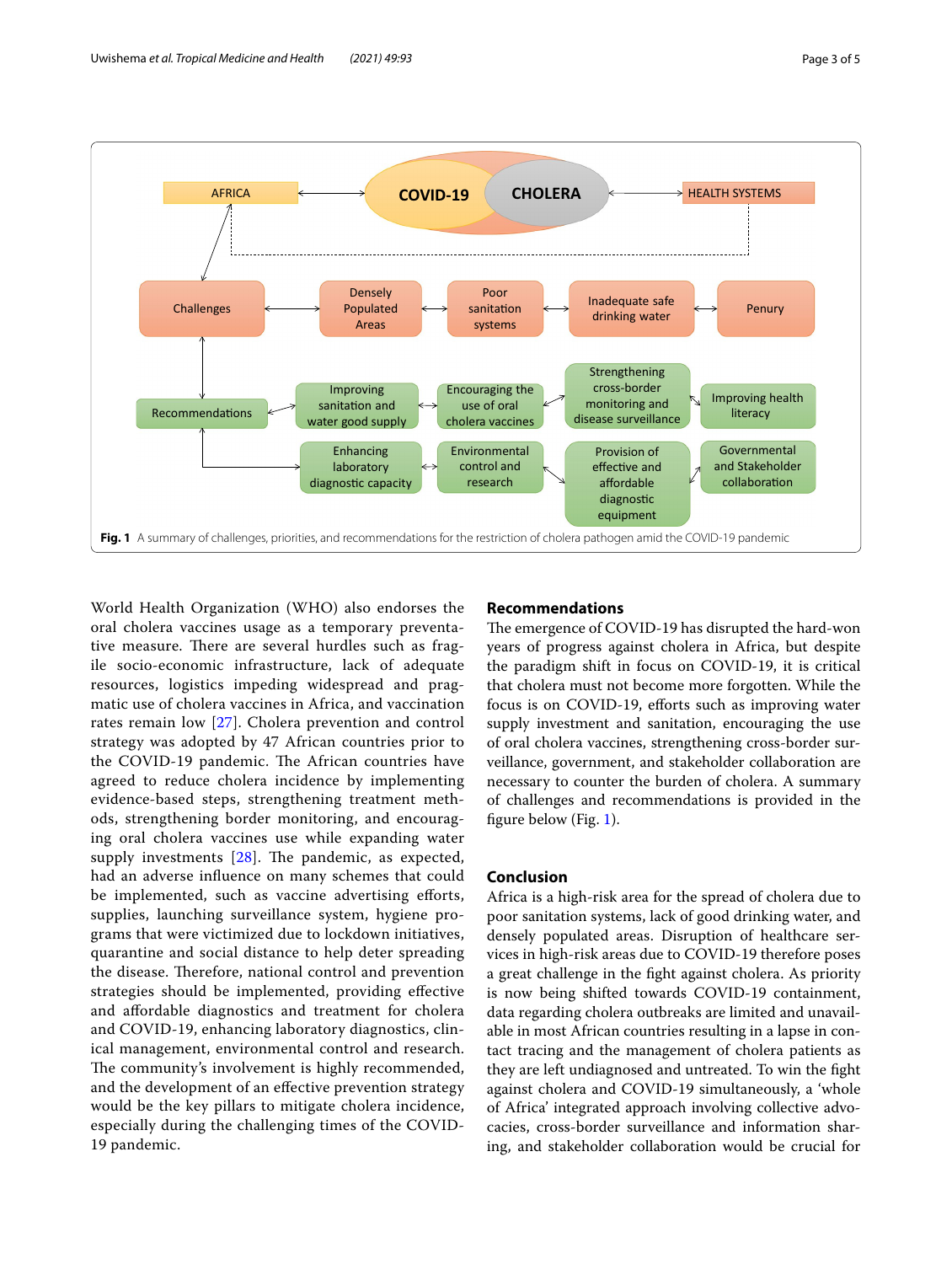

<span id="page-2-0"></span>World Health Organization (WHO) also endorses the oral cholera vaccines usage as a temporary preventative measure. There are several hurdles such as fragile socio-economic infrastructure, lack of adequate resources, logistics impeding widespread and pragmatic use of cholera vaccines in Africa, and vaccination rates remain low [[27\]](#page-4-2). Cholera prevention and control strategy was adopted by 47 African countries prior to the COVID-19 pandemic. The African countries have agreed to reduce cholera incidence by implementing evidence-based steps, strengthening treatment methods, strengthening border monitoring, and encouraging oral cholera vaccines use while expanding water supply investments  $[28]$  $[28]$ . The pandemic, as expected, had an adverse infuence on many schemes that could be implemented, such as vaccine advertising efforts, supplies, launching surveillance system, hygiene programs that were victimized due to lockdown initiatives, quarantine and social distance to help deter spreading the disease. Therefore, national control and prevention strategies should be implemented, providing efective and afordable diagnostics and treatment for cholera and COVID-19, enhancing laboratory diagnostics, clinical management, environmental control and research. The community's involvement is highly recommended, and the development of an efective prevention strategy would be the key pillars to mitigate cholera incidence, especially during the challenging times of the COVID-19 pandemic.

## **Recommendations**

The emergence of COVID-19 has disrupted the hard-won years of progress against cholera in Africa, but despite the paradigm shift in focus on COVID-19, it is critical that cholera must not become more forgotten. While the focus is on COVID-19, eforts such as improving water supply investment and sanitation, encouraging the use of oral cholera vaccines, strengthening cross-border surveillance, government, and stakeholder collaboration are necessary to counter the burden of cholera. A summary of challenges and recommendations is provided in the fgure below (Fig. [1\)](#page-2-0).

## **Conclusion**

Africa is a high-risk area for the spread of cholera due to poor sanitation systems, lack of good drinking water, and densely populated areas. Disruption of healthcare services in high-risk areas due to COVID-19 therefore poses a great challenge in the fght against cholera. As priority is now being shifted towards COVID-19 containment, data regarding cholera outbreaks are limited and unavailable in most African countries resulting in a lapse in contact tracing and the management of cholera patients as they are left undiagnosed and untreated. To win the fght against cholera and COVID-19 simultaneously, a 'whole of Africa' integrated approach involving collective advocacies, cross-border surveillance and information sharing, and stakeholder collaboration would be crucial for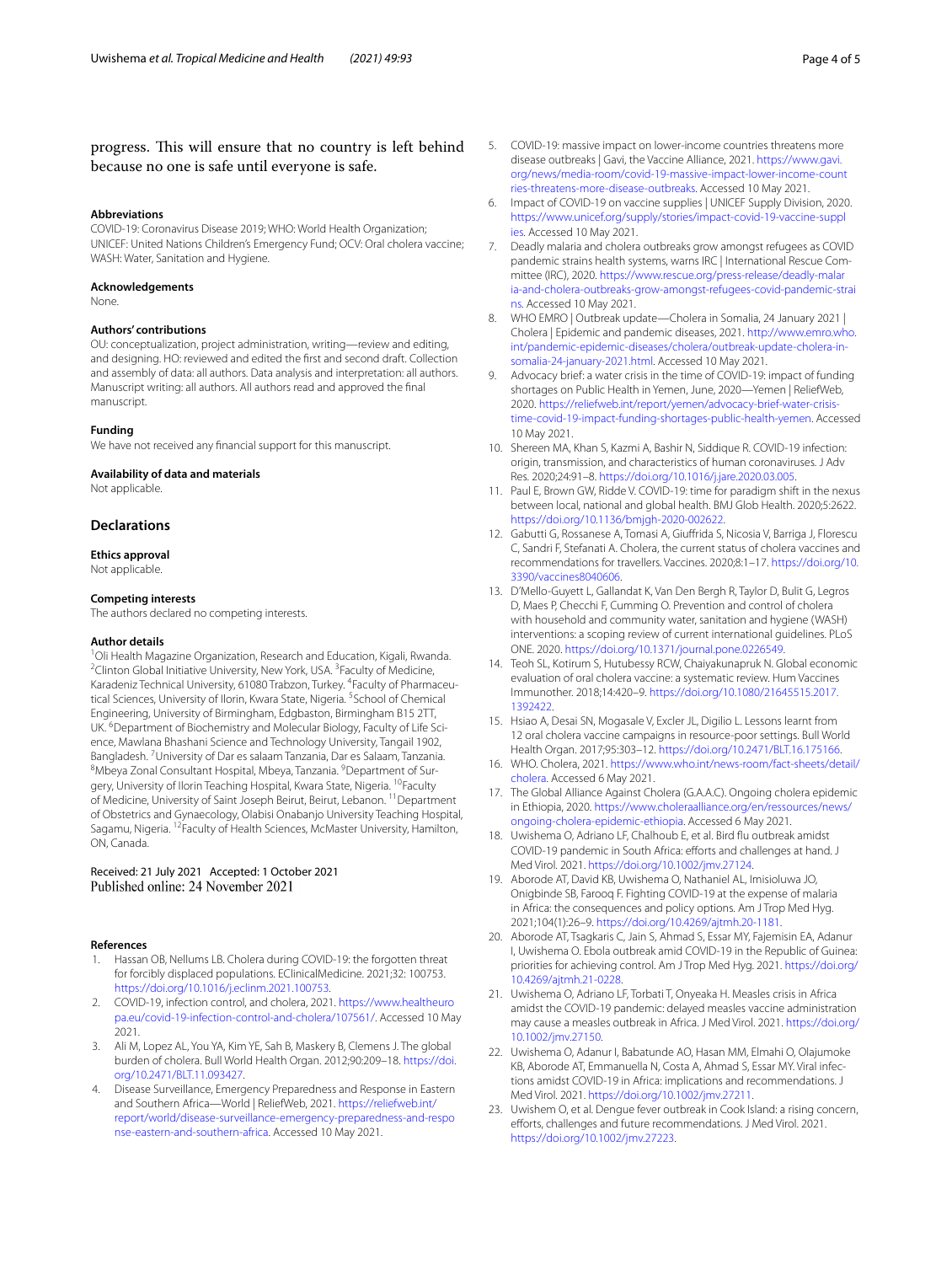## progress. This will ensure that no country is left behind because no one is safe until everyone is safe.

#### **Abbreviations**

COVID-19: Coronavirus Disease 2019; WHO: World Health Organization; UNICEF: United Nations Children's Emergency Fund; OCV: Oral cholera vaccine; WASH: Water, Sanitation and Hygiene.

#### **Acknowledgements**

None.

#### **Authors' contributions**

OU: conceptualization, project administration, writing—review and editing, and designing. HO: reviewed and edited the first and second draft. Collection and assembly of data: all authors. Data analysis and interpretation: all authors. Manuscript writing: all authors. All authors read and approved the fnal manuscript.

#### **Funding**

We have not received any fnancial support for this manuscript.

#### **Availability of data and materials**

Not applicable.

### **Declarations**

**Ethics approval**

#### Not applicable.

#### **Competing interests**

The authors declared no competing interests.

#### **Author details**

<sup>1</sup>Oli Health Magazine Organization, Research and Education, Kigali, Rwanda.<br><sup>2</sup>Clinton Global Initiative University, Naw York USA, <sup>3</sup>Faculty of Medicine Clinton Global Initiative University, New York, USA. <sup>3</sup> Faculty of Medicine, Karadeniz Technical University, 61080 Trabzon, Turkey. <sup>4</sup> Faculty of Pharmaceutical Sciences, University of Ilorin, Kwara State, Nigeria. <sup>5</sup>School of Chemical Engineering, University of Birmingham, Edgbaston, Birmingham B15 2TT, UK. <sup>6</sup>Department of Biochemistry and Molecular Biology, Faculty of Life Science, Mawlana Bhashani Science and Technology University, Tangail 1902, Bangladesh. <sup>7</sup>University of Dar es salaam Tanzania, Dar es Salaam, Tanzania.<br><sup>8</sup>Mbeya Zonal Consultant Hospital, Mbeya Tanzania. <sup>9</sup>Denartment of Sur-Mbeya Zonal Consultant Hospital, Mbeya, Tanzania. <sup>9</sup> Department of Surgery, University of Ilorin Teaching Hospital, Kwara State, Nigeria. <sup>10</sup>Faculty of Medicine, University of Saint Joseph Beirut, Beirut, Lebanon. <sup>11</sup> Department of Obstetrics and Gynaecology, Olabisi Onabanjo University Teaching Hospital, Sagamu, Nigeria. 12Faculty of Health Sciences, McMaster University, Hamilton, ON, Canada.

Received: 21 July 2021 Accepted: 1 October 2021

#### **References**

- <span id="page-3-0"></span>Hassan OB, Nellums LB. Cholera during COVID-19: the forgotten threat for forcibly displaced populations. EClinicalMedicine. 2021;32: 100753. [https://doi.org/10.1016/j.eclinm.2021.100753.](https://doi.org/10.1016/j.eclinm.2021.100753)
- <span id="page-3-1"></span>2. COVID-19, infection control, and cholera, 2021. [https://www.healtheuro](https://www.healtheuropa.eu/covid-19-infection-control-and-cholera/107561/) [pa.eu/covid-19-infection-control-and-cholera/107561/.](https://www.healtheuropa.eu/covid-19-infection-control-and-cholera/107561/) Accessed 10 May 2021.
- <span id="page-3-2"></span>3. Ali M, Lopez AL, You YA, Kim YE, Sah B, Maskery B, Clemens J. The global burden of cholera. Bull World Health Organ. 2012;90:209–18. [https://doi.](https://doi.org/10.2471/BLT.11.093427) [org/10.2471/BLT.11.093427](https://doi.org/10.2471/BLT.11.093427).
- <span id="page-3-3"></span>4. Disease Surveillance, Emergency Preparedness and Response in Eastern and Southern Africa—World | ReliefWeb, 2021. [https://reliefweb.int/](https://reliefweb.int/report/world/disease-surveillance-emergency-preparedness-and-response-eastern-and-southern-africa) [report/world/disease-surveillance-emergency-preparedness-and-respo](https://reliefweb.int/report/world/disease-surveillance-emergency-preparedness-and-response-eastern-and-southern-africa) [nse-eastern-and-southern-africa.](https://reliefweb.int/report/world/disease-surveillance-emergency-preparedness-and-response-eastern-and-southern-africa) Accessed 10 May 2021.
- <span id="page-3-4"></span>5. COVID-19: massive impact on lower-income countries threatens more disease outbreaks | Gavi, the Vaccine Alliance, 2021. [https://www.gavi.](https://www.gavi.org/news/media-room/covid-19-massive-impact-lower-income-countries-threatens-more-disease-outbreaks) [org/news/media-room/covid-19-massive-impact-lower-income-count](https://www.gavi.org/news/media-room/covid-19-massive-impact-lower-income-countries-threatens-more-disease-outbreaks) [ries-threatens-more-disease-outbreaks](https://www.gavi.org/news/media-room/covid-19-massive-impact-lower-income-countries-threatens-more-disease-outbreaks). Accessed 10 May 2021.
- <span id="page-3-5"></span>6. Impact of COVID-19 on vaccine supplies | UNICEF Supply Division, 2020. [https://www.unicef.org/supply/stories/impact-covid-19-vaccine-suppl](https://www.unicef.org/supply/stories/impact-covid-19-vaccine-supplies) [ies.](https://www.unicef.org/supply/stories/impact-covid-19-vaccine-supplies) Accessed 10 May 2021.
- <span id="page-3-6"></span>7. Deadly malaria and cholera outbreaks grow amongst refugees as COVID pandemic strains health systems, warns IRC | International Rescue Committee (IRC), 2020. [https://www.rescue.org/press-release/deadly-malar](https://www.rescue.org/press-release/deadly-malaria-and-cholera-outbreaks-grow-amongst-refugees-covid-pandemic-strains) [ia-and-cholera-outbreaks-grow-amongst-refugees-covid-pandemic-strai](https://www.rescue.org/press-release/deadly-malaria-and-cholera-outbreaks-grow-amongst-refugees-covid-pandemic-strains) [ns](https://www.rescue.org/press-release/deadly-malaria-and-cholera-outbreaks-grow-amongst-refugees-covid-pandemic-strains). Accessed 10 May 2021.
- <span id="page-3-7"></span>8. WHO EMRO | Outbreak update-Cholera in Somalia, 24 January 2021 | Cholera | Epidemic and pandemic diseases, 2021. [http://www.emro.who.](http://www.emro.who.int/pandemic-epidemic-diseases/cholera/outbreak-update-cholera-in-somalia-24-january-2021.html) [int/pandemic-epidemic-diseases/cholera/outbreak-update-cholera-in](http://www.emro.who.int/pandemic-epidemic-diseases/cholera/outbreak-update-cholera-in-somalia-24-january-2021.html)[somalia-24-january-2021.html.](http://www.emro.who.int/pandemic-epidemic-diseases/cholera/outbreak-update-cholera-in-somalia-24-january-2021.html) Accessed 10 May 2021.
- <span id="page-3-8"></span>9. Advocacy brief: a water crisis in the time of COVID-19: impact of funding shortages on Public Health in Yemen, June, 2020—Yemen | ReliefWeb, 2020. [https://reliefweb.int/report/yemen/advocacy-brief-water-crisis](https://reliefweb.int/report/yemen/advocacy-brief-water-crisis-time-covid-19-impact-funding-shortages-public-health-yemen)[time-covid-19-impact-funding-shortages-public-health-yemen.](https://reliefweb.int/report/yemen/advocacy-brief-water-crisis-time-covid-19-impact-funding-shortages-public-health-yemen) Accessed 10 May 2021.
- <span id="page-3-9"></span>10. Shereen MA, Khan S, Kazmi A, Bashir N, Siddique R. COVID-19 infection: origin, transmission, and characteristics of human coronaviruses. J Adv Res. 2020;24:91–8.<https://doi.org/10.1016/j.jare.2020.03.005>.
- <span id="page-3-10"></span>11. Paul E, Brown GW, Ridde V. COVID-19: time for paradigm shift in the nexus between local, national and global health. BMJ Glob Health. 2020;5:2622. [https://doi.org/10.1136/bmjgh-2020-002622.](https://doi.org/10.1136/bmjgh-2020-002622)
- <span id="page-3-11"></span>12. Gabutti G, Rossanese A, Tomasi A, Giufrida S, Nicosia V, Barriga J, Florescu C, Sandri F, Stefanati A. Cholera, the current status of cholera vaccines and recommendations for travellers. Vaccines. 2020;8:1–17. [https://doi.org/10.](https://doi.org/10.3390/vaccines8040606) [3390/vaccines8040606](https://doi.org/10.3390/vaccines8040606).
- <span id="page-3-12"></span>13. D'Mello-Guyett L, Gallandat K, Van Den Bergh R, Taylor D, Bulit G, Legros D, Maes P, Checchi F, Cumming O. Prevention and control of cholera with household and community water, sanitation and hygiene (WASH) interventions: a scoping review of current international guidelines. PLoS ONE. 2020. <https://doi.org/10.1371/journal.pone.0226549>.
- <span id="page-3-13"></span>14. Teoh SL, Kotirum S, Hutubessy RCW, Chaiyakunapruk N. Global economic evaluation of oral cholera vaccine: a systematic review. Hum Vaccines Immunother. 2018;14:420–9. [https://doi.org/10.1080/21645515.2017.](https://doi.org/10.1080/21645515.2017.1392422) [1392422](https://doi.org/10.1080/21645515.2017.1392422).
- <span id="page-3-14"></span>15. Hsiao A, Desai SN, Mogasale V, Excler JL, Digilio L. Lessons learnt from 12 oral cholera vaccine campaigns in resource-poor settings. Bull World Health Organ. 2017;95:303–12. [https://doi.org/10.2471/BLT.16.175166.](https://doi.org/10.2471/BLT.16.175166)
- <span id="page-3-15"></span>16. WHO. Cholera, 2021. [https://www.who.int/news-room/fact-sheets/detail/](https://www.who.int/news-room/fact-sheets/detail/cholera) [cholera.](https://www.who.int/news-room/fact-sheets/detail/cholera) Accessed 6 May 2021.
- <span id="page-3-16"></span>17. The Global Alliance Against Cholera (G.A.A.C). Ongoing cholera epidemic in Ethiopia, 2020. [https://www.choleraalliance.org/en/ressources/news/](https://www.choleraalliance.org/en/ressources/news/ongoing-cholera-epidemic-ethiopia) [ongoing-cholera-epidemic-ethiopia.](https://www.choleraalliance.org/en/ressources/news/ongoing-cholera-epidemic-ethiopia) Accessed 6 May 2021.
- <span id="page-3-17"></span>18. Uwishema O, Adriano LF, Chalhoub E, et al. Bird fu outbreak amidst COVID-19 pandemic in South Africa: efforts and challenges at hand. J Med Virol. 2021.<https://doi.org/10.1002/jmv.27124>.
- 19. Aborode AT, David KB, Uwishema O, Nathaniel AL, Imisioluwa JO, Onigbinde SB, Farooq F. Fighting COVID-19 at the expense of malaria in Africa: the consequences and policy options. Am J Trop Med Hyg. 2021;104(1):26–9.<https://doi.org/10.4269/ajtmh.20-1181>.
- 20. Aborode AT, Tsagkaris C, Jain S, Ahmad S, Essar MY, Fajemisin EA, Adanur I, Uwishema O. Ebola outbreak amid COVID-19 in the Republic of Guinea: priorities for achieving control. Am J Trop Med Hyg. 2021. [https://doi.org/](https://doi.org/10.4269/ajtmh.21-0228) [10.4269/ajtmh.21-0228.](https://doi.org/10.4269/ajtmh.21-0228)
- 21. Uwishema O, Adriano LF, Torbati T, Onyeaka H. Measles crisis in Africa amidst the COVID-19 pandemic: delayed measles vaccine administration may cause a measles outbreak in Africa. J Med Virol. 2021. [https://doi.org/](https://doi.org/10.1002/jmv.27150) [10.1002/jmv.27150](https://doi.org/10.1002/jmv.27150).
- 22. Uwishema O, Adanur I, Babatunde AO, Hasan MM, Elmahi O, Olajumoke KB, Aborode AT, Emmanuella N, Costa A, Ahmad S, Essar MY. Viral infections amidst COVID-19 in Africa: implications and recommendations. J Med Virol. 2021.<https://doi.org/10.1002/jmv.27211>.
- 23. Uwishem O, et al. Dengue fever outbreak in Cook Island: a rising concern, eforts, challenges and future recommendations. J Med Virol. 2021. <https://doi.org/10.1002/jmv.27223>.